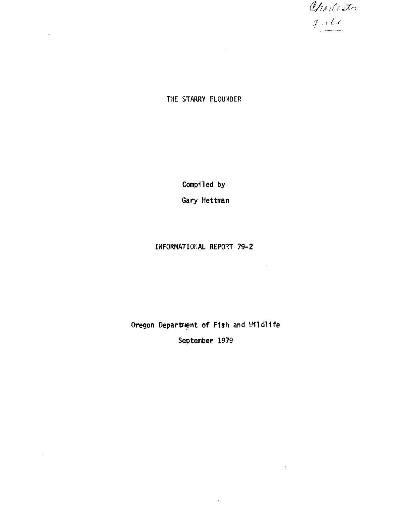Charlester  $1.2$ 

THE STARRY FLOUNDER

Compiled by Gary Hettman

# INFORMATIONAL REPORT 79-2

 $\sim 10^{-1}$ 

 $\sim 10^{-10}$ 

Oregon Department of Fish and Wildlife September 1979

 $\lambda$  .

 $\mathcal{A}^{\pm}$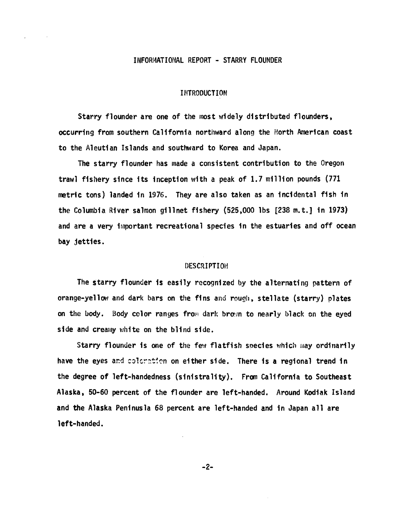# INFORf4ATIONAL REPORT - STARRY FLOUNDER

#### INTRODUCTION

Starry flounder are one of the most widely distributed flounders, occurring from southern California northward along the North American coast to the Aleutian Islands and southward to Korea and Japan.

The starry flounder has made a consistent contribution to the Oregon trawl fishery since its inception with a peak of 1.7 million pounds (771 metric tons) landed in 1976. They are also taken as an incidental fish in the Columbia River salmon gillnet fishery (525,000 lbs [238 m.t.] in 1973) and are a very important recreational species in the estuaries and off ocean bay jetties.

#### DESCRIPTION

The starry flounder is easily recognized by the alternating pattern of orange-yellow and dark bars on the fins and rough, stellate (starry) plates on the body. Body color ranges from dark brown to nearly black on the eyed side and creamy white on the blind side.

Starry flounder is one of the few flatfish species which may ordinarily have the eyes and coloration on either side. There is a regional trend in the degree of left-handedness (sinistrali~). From california to Southeast Alaska, 50-60 percent of the flounder are left-handed. Around Kodiak Island and the Alaska Peninusla 68 percent are left-handed and in Japan all are left-handed.

-2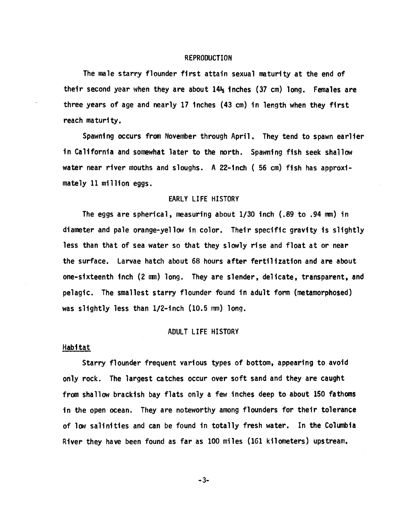# REPRODUCTION

The male starry flounder first attain sexual maturity at the end of their second year when they are about  $14\frac{1}{2}$  inches (37 cm) long. Females are three years of age and nearly 17 inches (43 cm) in length when they first reach maturity.

Spawning occurs from November through April. They tend to spawn earlier in California and somewhat later to the north. Spawning fish seek shallow water near river mouths and sloughs. A 22-inch ( 56 cm) fish has approximately 11 million eggs.

# EARLY LIFE HISTORY

The eggs are spherical, measuring about *1/30* inch (.89 to .94 mm) in diameter and pale orange-yellow in color. Their specific gravity is slightly less than that of sea water so that they slowly rise and float at or near the surface. Larvae hatch about 68 hours after fertilization and are about one-sixteenth inch (2 mm) long. They are slender, delicate, transparent, and pelagic. The smallest starry flounder fOund in adult form (metamorphosed) was slightly less than I/2-inch (10.5 mm) long.

# ADULT LIFE HISTORY

# **Habitat**

Starry flounder frequent various types of bottom, appearing to avoid only rock. The largest catches occur over soft sand and they are caught from shallow brackish bay flats only a few inches deep to about 150 fathoms in the open ocean. They are noteworthy among flounders for their tolerance of low salinities and can be found in totally fresh water. In the C01umbia River they have been found as far as 100 miles (161 kilometers) upstream.

 $-3-$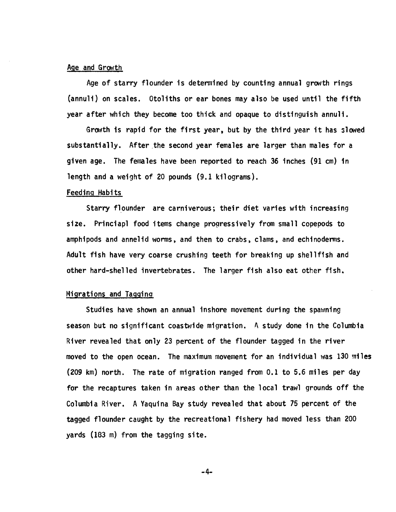# Age and Growth

Age of starry flounder is determined by counting annual growth rings (annuli) on scales. Otoliths or ear bones may also be used until the fifth year after which they become too thick and opaque to distinguish annuli.

Growth is rapid for the first year, but by the third year it has slowed substantially. After ,the second year females are larger than males for a given age. The females have been reported to reach 36 inches (91 cm) in length and a weight of 20 pounds (9.1 kilograms).

# Feeding Habits

Starry flounder are carniverous; their diet varies with increasing size. Princiapl food items change progressively from small copepods to amphipods and annelid worms, and then to crabs, clams, and echinoderms. Adult fish have very coarse crushing teeth for breaking up shellfish and other hard-shelled invertebrates. The larger fish also eat other fish.

# Migrations and Tagginq

Studies have shown an annual inshore movement during the spawning season but no significant coastwide migration. A study done in the Columbia River revealed that only 23 percent of the flounder tagged in the river moved to the open ocean. The maximum movement for an individual was 130 miles (209 km) north. The rate of migration ranged from 0.1 to 5.6 miles per day for the recaptures taken in areas other than the local trawl grounds off the Columbia River. A Yaquina Bay study revealed that about 75 percent of the tagged flounder caught by the recreational fishery had moved less than 200 yards (183 m) from the tagging site.

 $-4-$